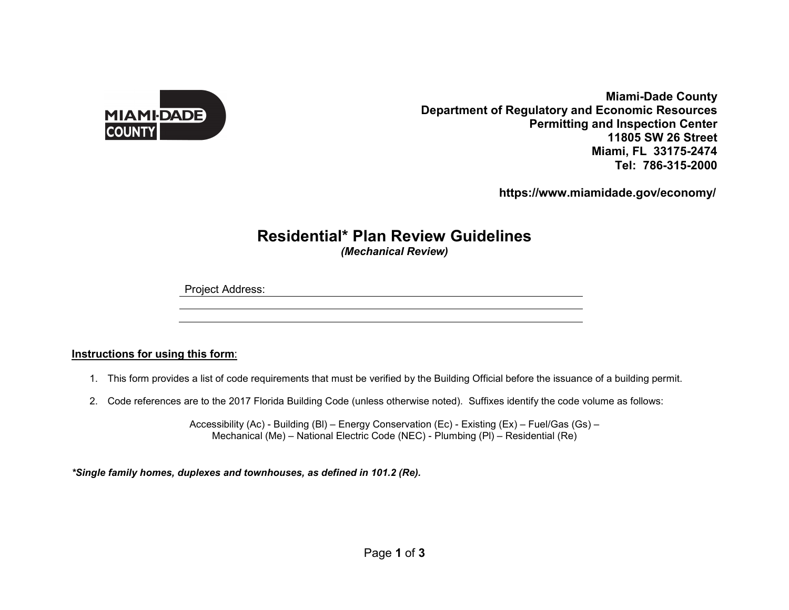

**Miami-Dade County Department of Regulatory and Economic Resources Permitting and Inspection Center 11805 SW 26 Street Miami, FL 33175-2474Tel: 786-315-2000**

 **https://www.miamidade.gov/economy/**

## **Residential\* Plan Review Guidelines**

*(Mechanical Review)* 

Project Address:

## **Instructions for using this form**:

- 1. This form provides a list of code requirements that must be verified by the Building Official before the issuance of a building permit.
- 2. Code references are to the 2017 Florida Building Code (unless otherwise noted). Suffixes identify the code volume as follows:

Accessibility (Ac) - Building (Bl) – Energy Conservation (Ec) - Existing (Ex) – Fuel/Gas (Gs) – Mechanical (Me) – National Electric Code (NEC) - Plumbing (Pl) – Residential (Re)

*\*Single family homes, duplexes and townhouses, as defined in 101.2 (Re).*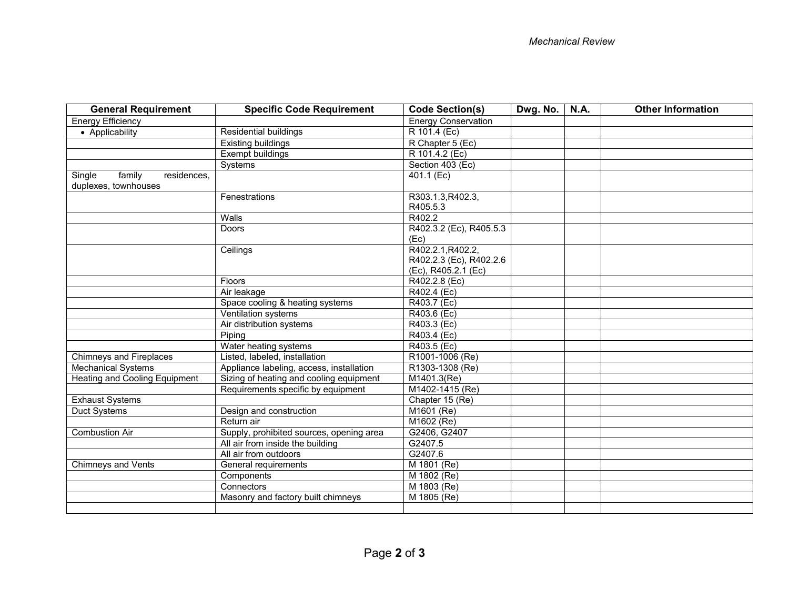| <b>General Requirement</b>                              | <b>Specific Code Requirement</b>         | <b>Code Section(s)</b>        | Dwg. No. | <b>N.A.</b> | <b>Other Information</b> |
|---------------------------------------------------------|------------------------------------------|-------------------------------|----------|-------------|--------------------------|
| <b>Energy Efficiency</b>                                |                                          | <b>Energy Conservation</b>    |          |             |                          |
| • Applicability                                         | Residential buildings                    | R 101.4 (Ec)                  |          |             |                          |
|                                                         | Existing buildings                       | R Chapter 5 (Ec)              |          |             |                          |
|                                                         | Exempt buildings                         | R 101.4.2 (Ec)                |          |             |                          |
|                                                         | Systems                                  | Section 403 (Ec)              |          |             |                          |
| Single<br>family<br>residences,<br>duplexes, townhouses |                                          | 401.1 (Ec)                    |          |             |                          |
|                                                         | Fenestrations                            | R303.1.3, R402.3,<br>R405.5.3 |          |             |                          |
|                                                         | Walls                                    | R402.2                        |          |             |                          |
|                                                         | <b>Doors</b>                             | R402.3.2 (Ec), R405.5.3       |          |             |                          |
|                                                         |                                          | (Ec)                          |          |             |                          |
|                                                         | Ceilings                                 | R402.2.1, R402.2,             |          |             |                          |
|                                                         |                                          | R402.2.3 (Ec), R402.2.6       |          |             |                          |
|                                                         |                                          | (Ec), R405.2.1 (Ec)           |          |             |                          |
|                                                         | <b>Floors</b>                            | R402.2.8 (Ec)                 |          |             |                          |
|                                                         | Air leakage                              | R402.4 (Ec)                   |          |             |                          |
|                                                         | Space cooling & heating systems          | R403.7 (Ec)                   |          |             |                          |
|                                                         | Ventilation systems                      | R403.6 (Ec)                   |          |             |                          |
|                                                         | Air distribution systems                 | R403.3 (Ec)                   |          |             |                          |
|                                                         | Piping                                   | R403.4 (Ec)                   |          |             |                          |
|                                                         | Water heating systems                    | R403.5 (Ec)                   |          |             |                          |
| <b>Chimneys and Fireplaces</b>                          | Listed, labeled, installation            | R1001-1006 (Re)               |          |             |                          |
| <b>Mechanical Systems</b>                               | Appliance labeling, access, installation | R1303-1308 (Re)               |          |             |                          |
| Heating and Cooling Equipment                           | Sizing of heating and cooling equipment  | M1401.3(Re)                   |          |             |                          |
|                                                         | Requirements specific by equipment       | M1402-1415 (Re)               |          |             |                          |
| <b>Exhaust Systems</b>                                  |                                          | Chapter 15 (Re)               |          |             |                          |
| Duct Systems                                            | Design and construction                  | M1601 (Re)                    |          |             |                          |
|                                                         | Return air                               | M1602 (Re)                    |          |             |                          |
| <b>Combustion Air</b>                                   | Supply, prohibited sources, opening area | G2406, G2407                  |          |             |                          |
|                                                         | All air from inside the building         | G2407.5                       |          |             |                          |
|                                                         | All air from outdoors                    | G2407.6                       |          |             |                          |
| <b>Chimneys and Vents</b>                               | General requirements                     | M 1801 (Re)                   |          |             |                          |
|                                                         | Components                               | M 1802 (Re)                   |          |             |                          |
|                                                         | Connectors                               | M 1803 (Re)                   |          |             |                          |
|                                                         | Masonry and factory built chimneys       | M 1805 (Re)                   |          |             |                          |
|                                                         |                                          |                               |          |             |                          |